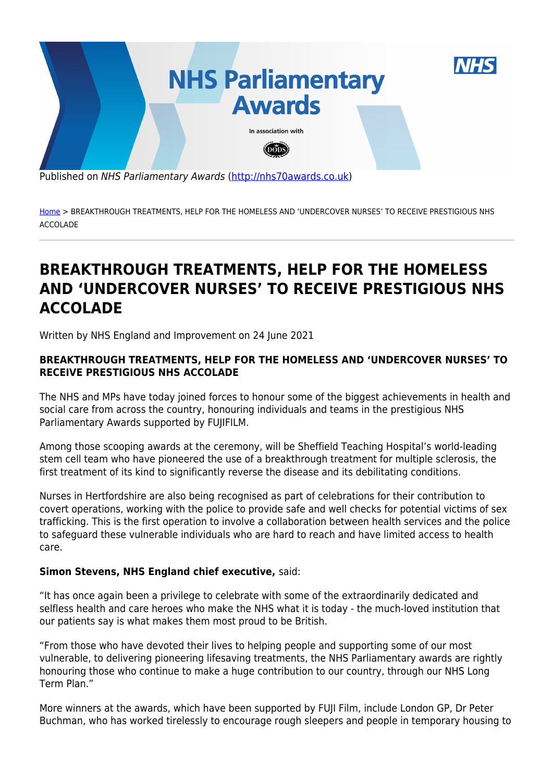

Published on NHS Parliamentary Awards [\(http://nhs70awards.co.uk](http://nhs70awards.co.uk))

[Home](http://nhs70awards.co.uk/) > BREAKTHROUGH TREATMENTS, HELP FOR THE HOMELESS AND 'UNDERCOVER NURSES' TO RECEIVE PRESTIGIOUS NHS ACCOLADE

# **BREAKTHROUGH TREATMENTS, HELP FOR THE HOMELESS AND 'UNDERCOVER NURSES' TO RECEIVE PRESTIGIOUS NHS ACCOLADE**

Written by NHS England and Improvement on 24 June 2021

#### **BREAKTHROUGH TREATMENTS, HELP FOR THE HOMELESS AND 'UNDERCOVER NURSES' TO RECEIVE PRESTIGIOUS NHS ACCOLADE**

The NHS and MPs have today joined forces to honour some of the biggest achievements in health and social care from across the country, honouring individuals and teams in the prestigious NHS Parliamentary Awards supported by FUJIFILM.

Among those scooping awards at the ceremony, will be Sheffield Teaching Hospital's world-leading stem cell team who have pioneered the use of a breakthrough treatment for multiple sclerosis, the first treatment of its kind to significantly reverse the disease and its debilitating conditions.

Nurses in Hertfordshire are also being recognised as part of celebrations for their contribution to covert operations, working with the police to provide safe and well checks for potential victims of sex trafficking. This is the first operation to involve a collaboration between health services and the police to safeguard these vulnerable individuals who are hard to reach and have limited access to health care.

#### **Simon Stevens, NHS England chief executive,** said:

"It has once again been a privilege to celebrate with some of the extraordinarily dedicated and selfless health and care heroes who make the NHS what it is today - the much-loved institution that our patients say is what makes them most proud to be British.

"From those who have devoted their lives to helping people and supporting some of our most vulnerable, to delivering pioneering lifesaving treatments, the NHS Parliamentary awards are rightly honouring those who continue to make a huge contribution to our country, through our NHS Long Term Plan."

More winners at the awards, which have been supported by FUJI Film, include London GP, Dr Peter Buchman, who has worked tirelessly to encourage rough sleepers and people in temporary housing to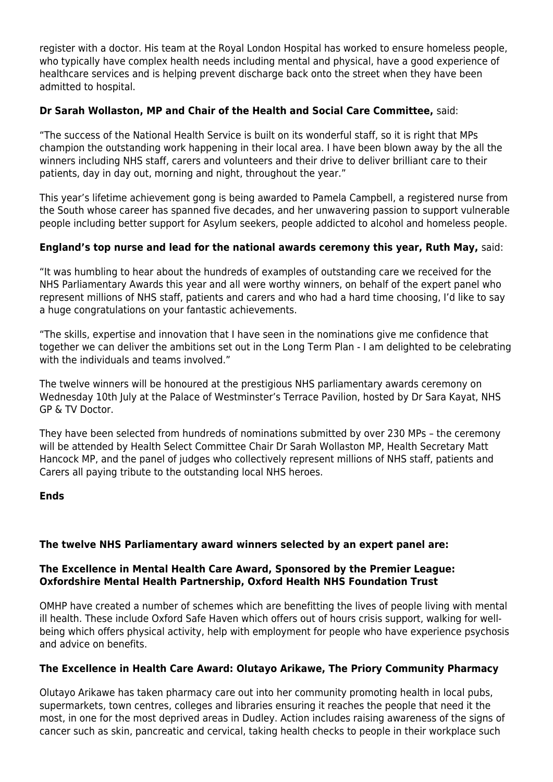register with a doctor. His team at the Royal London Hospital has worked to ensure homeless people, who typically have complex health needs including mental and physical, have a good experience of healthcare services and is helping prevent discharge back onto the street when they have been admitted to hospital.

# **Dr Sarah Wollaston, MP and Chair of the Health and Social Care Committee,** said:

"The success of the National Health Service is built on its wonderful staff, so it is right that MPs champion the outstanding work happening in their local area. I have been blown away by the all the winners including NHS staff, carers and volunteers and their drive to deliver brilliant care to their patients, day in day out, morning and night, throughout the year."

This year's lifetime achievement gong is being awarded to Pamela Campbell, a registered nurse from the South whose career has spanned five decades, and her unwavering passion to support vulnerable people including better support for Asylum seekers, people addicted to alcohol and homeless people.

## **England's top nurse and lead for the national awards ceremony this year, Ruth May,** said:

"It was humbling to hear about the hundreds of examples of outstanding care we received for the NHS Parliamentary Awards this year and all were worthy winners, on behalf of the expert panel who represent millions of NHS staff, patients and carers and who had a hard time choosing, I'd like to say a huge congratulations on your fantastic achievements.

"The skills, expertise and innovation that I have seen in the nominations give me confidence that together we can deliver the ambitions set out in the Long Term Plan - I am delighted to be celebrating with the individuals and teams involved."

The twelve winners will be honoured at the prestigious NHS parliamentary awards ceremony on Wednesday 10th July at the Palace of Westminster's Terrace Pavilion, hosted by Dr Sara Kayat, NHS GP & TV Doctor.

They have been selected from hundreds of nominations submitted by over 230 MPs – the ceremony will be attended by Health Select Committee Chair Dr Sarah Wollaston MP, Health Secretary Matt Hancock MP, and the panel of judges who collectively represent millions of NHS staff, patients and Carers all paying tribute to the outstanding local NHS heroes.

#### **Ends**

#### **The twelve NHS Parliamentary award winners selected by an expert panel are:**

## **The Excellence in Mental Health Care Award, Sponsored by the Premier League: Oxfordshire Mental Health Partnership, Oxford Health NHS Foundation Trust**

OMHP have created a number of schemes which are benefitting the lives of people living with mental ill health. These include Oxford Safe Haven which offers out of hours crisis support, walking for wellbeing which offers physical activity, help with employment for people who have experience psychosis and advice on benefits.

#### **The Excellence in Health Care Award: Olutayo Arikawe, The Priory Community Pharmacy**

Olutayo Arikawe has taken pharmacy care out into her community promoting health in local pubs, supermarkets, town centres, colleges and libraries ensuring it reaches the people that need it the most, in one for the most deprived areas in Dudley. Action includes raising awareness of the signs of cancer such as skin, pancreatic and cervical, taking health checks to people in their workplace such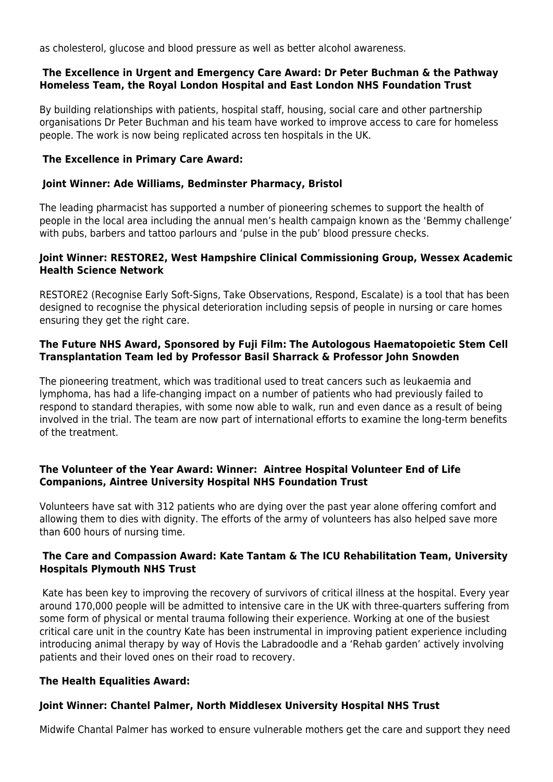as cholesterol, glucose and blood pressure as well as better alcohol awareness.

#### **The Excellence in Urgent and Emergency Care Award: Dr Peter Buchman & the Pathway Homeless Team, the Royal London Hospital and East London NHS Foundation Trust**

By building relationships with patients, hospital staff, housing, social care and other partnership organisations Dr Peter Buchman and his team have worked to improve access to care for homeless people. The work is now being replicated across ten hospitals in the UK.

# **The Excellence in Primary Care Award:**

## **Joint Winner: Ade Williams, Bedminster Pharmacy, Bristol**

The leading pharmacist has supported a number of pioneering schemes to support the health of people in the local area including the annual men's health campaign known as the 'Bemmy challenge' with pubs, barbers and tattoo parlours and 'pulse in the pub' blood pressure checks.

#### **Joint Winner: RESTORE2, West Hampshire Clinical Commissioning Group, Wessex Academic Health Science Network**

RESTORE2 (Recognise Early Soft-Signs, Take Observations, Respond, Escalate) is a tool that has been designed to recognise the physical deterioration including sepsis of people in nursing or care homes ensuring they get the right care.

#### **The Future NHS Award, Sponsored by Fuji Film: The Autologous Haematopoietic Stem Cell Transplantation Team led by Professor Basil Sharrack & Professor John Snowden**

The pioneering treatment, which was traditional used to treat cancers such as leukaemia and lymphoma, has had a life-changing impact on a number of patients who had previously failed to respond to standard therapies, with some now able to walk, run and even dance as a result of being involved in the trial. The team are now part of international efforts to examine the long-term benefits of the treatment.

## **The Volunteer of the Year Award: Winner: Aintree Hospital Volunteer End of Life Companions, Aintree University Hospital NHS Foundation Trust**

Volunteers have sat with 312 patients who are dying over the past year alone offering comfort and allowing them to dies with dignity. The efforts of the army of volunteers has also helped save more than 600 hours of nursing time.

#### **The Care and Compassion Award: Kate Tantam & The ICU Rehabilitation Team, University Hospitals Plymouth NHS Trust**

 Kate has been key to improving the recovery of survivors of critical illness at the hospital. Every year around 170,000 people will be admitted to intensive care in the UK with three-quarters suffering from some form of physical or mental trauma following their experience. Working at one of the busiest critical care unit in the country Kate has been instrumental in improving patient experience including introducing animal therapy by way of Hovis the Labradoodle and a 'Rehab garden' actively involving patients and their loved ones on their road to recovery.

# **The Health Equalities Award:**

# **Joint Winner: Chantel Palmer, North Middlesex University Hospital NHS Trust**

Midwife Chantal Palmer has worked to ensure vulnerable mothers get the care and support they need